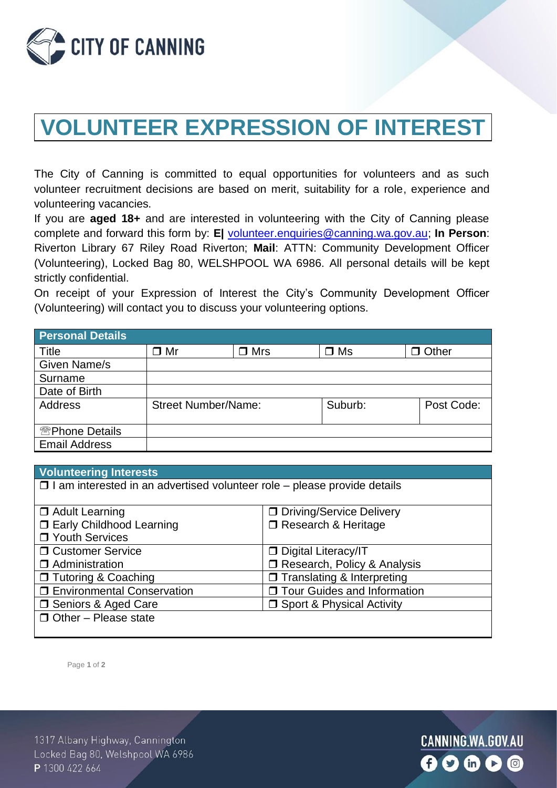

## **VOLUNTEER EXPRESSION OF INTEREST**

The City of Canning is committed to equal opportunities for volunteers and as such volunteer recruitment decisions are based on merit, suitability for a role, experience and volunteering vacancies.

If you are **aged 18+** and are interested in volunteering with the City of Canning please complete and forward this form by: **E|** [volunteer.enquiries@canning.wa.gov.au;](mailto:vcolunteer.enquiries@canning.wa.gov.au) **In Person**: Riverton Library 67 Riley Road Riverton; **Mail**: ATTN: Community Development Officer (Volunteering), Locked Bag 80, WELSHPOOL WA 6986. All personal details will be kept strictly confidential.

On receipt of your Expression of Interest the City's Community Development Officer (Volunteering) will contact you to discuss your volunteering options.

| <b>Personal Details</b>             |                            |            |              |              |
|-------------------------------------|----------------------------|------------|--------------|--------------|
| Title                               | ∃ Mr                       | $\Box$ Mrs | $\square$ Ms | $\Box$ Other |
| Given Name/s                        |                            |            |              |              |
| Surname                             |                            |            |              |              |
| Date of Birth                       |                            |            |              |              |
| <b>Address</b>                      | <b>Street Number/Name:</b> |            | Suburb:      | Post Code:   |
| <b><sup> Reprione Details</sup></b> |                            |            |              |              |
| <b>Email Address</b>                |                            |            |              |              |

| <b>Volunteering Interests</b>                                                   |                                    |  |  |  |
|---------------------------------------------------------------------------------|------------------------------------|--|--|--|
| $\Box$ I am interested in an advertised volunteer role – please provide details |                                    |  |  |  |
|                                                                                 |                                    |  |  |  |
| <b>D</b> Adult Learning                                                         | □ Driving/Service Delivery         |  |  |  |
| <b>ID Early Childhood Learning</b>                                              | □ Research & Heritage              |  |  |  |
| □ Youth Services                                                                |                                    |  |  |  |
| □ Customer Service                                                              | Digital Literacy/IT                |  |  |  |
| $\Box$ Administration                                                           | □ Research, Policy & Analysis      |  |  |  |
| □ Tutoring & Coaching                                                           | $\Box$ Translating & Interpreting  |  |  |  |
| <b>I</b> Environmental Conservation                                             | □ Tour Guides and Information      |  |  |  |
| □ Seniors & Aged Care                                                           | <b>J</b> Sport & Physical Activity |  |  |  |
| $\Box$ Other – Please state                                                     |                                    |  |  |  |
|                                                                                 |                                    |  |  |  |

Page **1** of **2**

1317 Albany Highway, Cannington Locked Bag 80, Welshpool WA 6986 P 1300 422 664